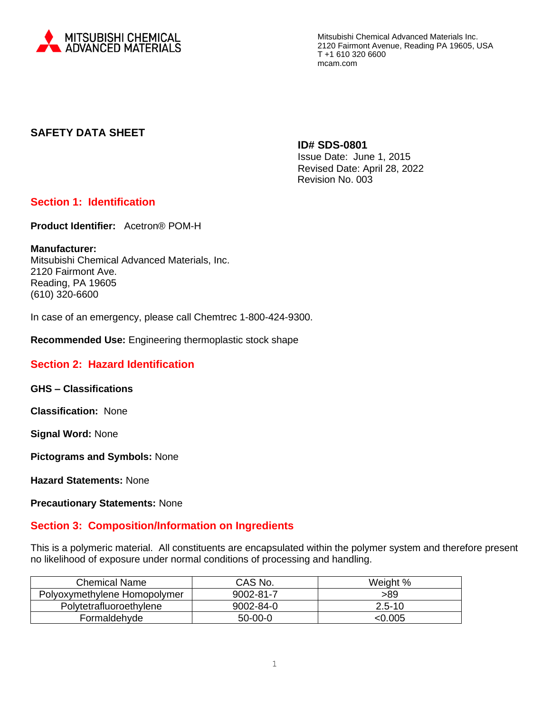

# **SAFETY DATA SHEET**

**ID# SDS-0801**

Issue Date: June 1, 2015 Revised Date: April 28, 2022 Revision No. 003

# **Section 1: Identification**

**Product Identifier:** Acetron® POM-H

**Manufacturer:**  Mitsubishi Chemical Advanced Materials, Inc. 2120 Fairmont Ave. Reading, PA 19605 (610) 320-6600

In case of an emergency, please call Chemtrec 1-800-424-9300.

**Recommended Use:** Engineering thermoplastic stock shape

## **Section 2: Hazard Identification**

**GHS – Classifications**

**Classification:** None

**Signal Word:** None

**Pictograms and Symbols:** None

**Hazard Statements:** None

**Precautionary Statements:** None

## **Section 3: Composition/Information on Ingredients**

This is a polymeric material. All constituents are encapsulated within the polymer system and therefore present no likelihood of exposure under normal conditions of processing and handling.

| <b>Chemical Name</b>         | CAS No.   | Weight %   |
|------------------------------|-----------|------------|
| Polyoxymethylene Homopolymer | 9002-81-7 | >89        |
| Polytetrafluoroethylene      | 9002-84-0 | $2.5 - 10$ |
| Formaldehyde                 | $50-00-0$ | <0.005     |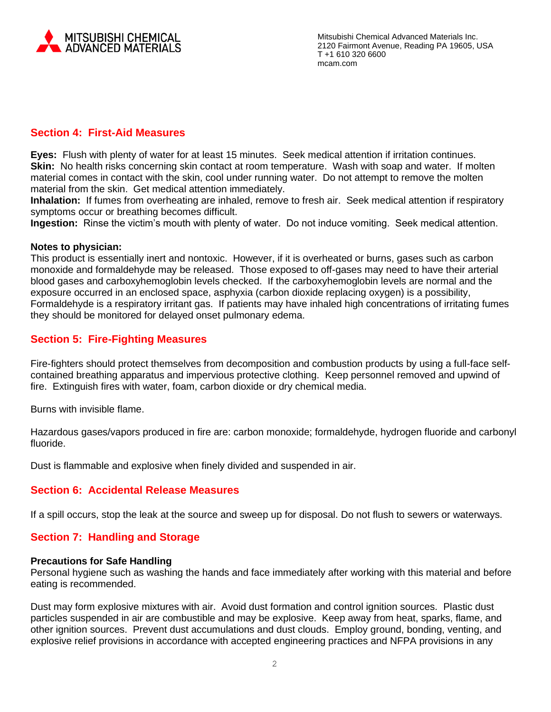

# **Section 4: First-Aid Measures**

**Eyes:** Flush with plenty of water for at least 15 minutes. Seek medical attention if irritation continues. **Skin:** No health risks concerning skin contact at room temperature. Wash with soap and water. If molten material comes in contact with the skin, cool under running water. Do not attempt to remove the molten material from the skin. Get medical attention immediately.

**Inhalation:** If fumes from overheating are inhaled, remove to fresh air. Seek medical attention if respiratory symptoms occur or breathing becomes difficult.

**Ingestion:** Rinse the victim's mouth with plenty of water. Do not induce vomiting. Seek medical attention.

### **Notes to physician:**

This product is essentially inert and nontoxic. However, if it is overheated or burns, gases such as carbon monoxide and formaldehyde may be released. Those exposed to off-gases may need to have their arterial blood gases and carboxyhemoglobin levels checked. If the carboxyhemoglobin levels are normal and the exposure occurred in an enclosed space, asphyxia (carbon dioxide replacing oxygen) is a possibility, Formaldehyde is a respiratory irritant gas. If patients may have inhaled high concentrations of irritating fumes they should be monitored for delayed onset pulmonary edema.

# **Section 5: Fire-Fighting Measures**

Fire-fighters should protect themselves from decomposition and combustion products by using a full-face selfcontained breathing apparatus and impervious protective clothing. Keep personnel removed and upwind of fire. Extinguish fires with water, foam, carbon dioxide or dry chemical media.

Burns with invisible flame.

Hazardous gases/vapors produced in fire are: carbon monoxide; formaldehyde, hydrogen fluoride and carbonyl fluoride.

Dust is flammable and explosive when finely divided and suspended in air.

## **Section 6: Accidental Release Measures**

If a spill occurs, stop the leak at the source and sweep up for disposal. Do not flush to sewers or waterways.

## **Section 7: Handling and Storage**

#### **Precautions for Safe Handling**

Personal hygiene such as washing the hands and face immediately after working with this material and before eating is recommended.

Dust may form explosive mixtures with air. Avoid dust formation and control ignition sources. Plastic dust particles suspended in air are combustible and may be explosive. Keep away from heat, sparks, flame, and other ignition sources. Prevent dust accumulations and dust clouds. Employ ground, bonding, venting, and explosive relief provisions in accordance with accepted engineering practices and NFPA provisions in any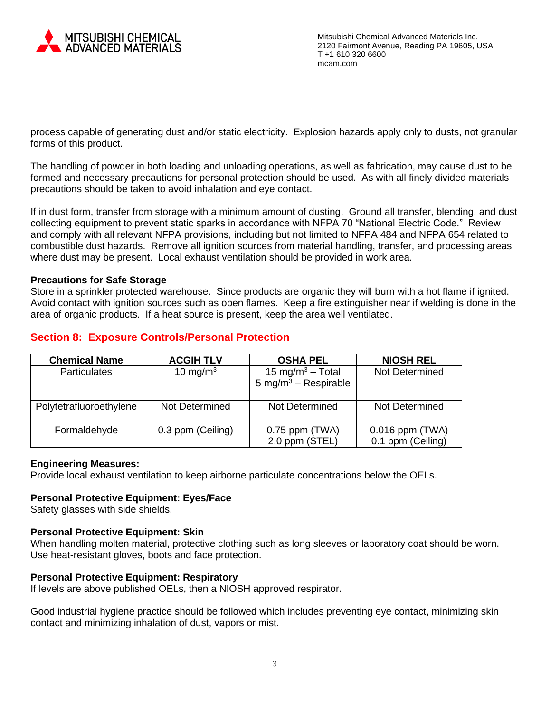

process capable of generating dust and/or static electricity. Explosion hazards apply only to dusts, not granular forms of this product.

The handling of powder in both loading and unloading operations, as well as fabrication, may cause dust to be formed and necessary precautions for personal protection should be used. As with all finely divided materials precautions should be taken to avoid inhalation and eye contact.

If in dust form, transfer from storage with a minimum amount of dusting. Ground all transfer, blending, and dust collecting equipment to prevent static sparks in accordance with NFPA 70 "National Electric Code." Review and comply with all relevant NFPA provisions, including but not limited to NFPA 484 and NFPA 654 related to combustible dust hazards. Remove all ignition sources from material handling, transfer, and processing areas where dust may be present. Local exhaust ventilation should be provided in work area.

### **Precautions for Safe Storage**

Store in a sprinkler protected warehouse. Since products are organic they will burn with a hot flame if ignited. Avoid contact with ignition sources such as open flames. Keep a fire extinguisher near if welding is done in the area of organic products. If a heat source is present, keep the area well ventilated.

|  |  | <b>Section 8: Exposure Controls/Personal Protection</b> |  |
|--|--|---------------------------------------------------------|--|
|--|--|---------------------------------------------------------|--|

| <b>Chemical Name</b>    | <b>ACGIH TLV</b>  | <b>OSHA PEL</b>                                                  | <b>NIOSH REL</b>                     |
|-------------------------|-------------------|------------------------------------------------------------------|--------------------------------------|
| <b>Particulates</b>     | 10 mg/m $3$       | 15 mg/m <sup>3</sup> – Total<br>5 mg/m <sup>3</sup> – Respirable | Not Determined                       |
| Polytetrafluoroethylene | Not Determined    | Not Determined                                                   | Not Determined                       |
| Formaldehyde            | 0.3 ppm (Ceiling) | $0.75$ ppm (TWA)<br>2.0 ppm (STEL)                               | 0.016 ppm (TWA)<br>0.1 ppm (Ceiling) |

### **Engineering Measures:**

Provide local exhaust ventilation to keep airborne particulate concentrations below the OELs.

### **Personal Protective Equipment: Eyes/Face**

Safety glasses with side shields.

### **Personal Protective Equipment: Skin**

When handling molten material, protective clothing such as long sleeves or laboratory coat should be worn. Use heat-resistant gloves, boots and face protection.

### **Personal Protective Equipment: Respiratory**

If levels are above published OELs, then a NIOSH approved respirator.

Good industrial hygiene practice should be followed which includes preventing eye contact, minimizing skin contact and minimizing inhalation of dust, vapors or mist.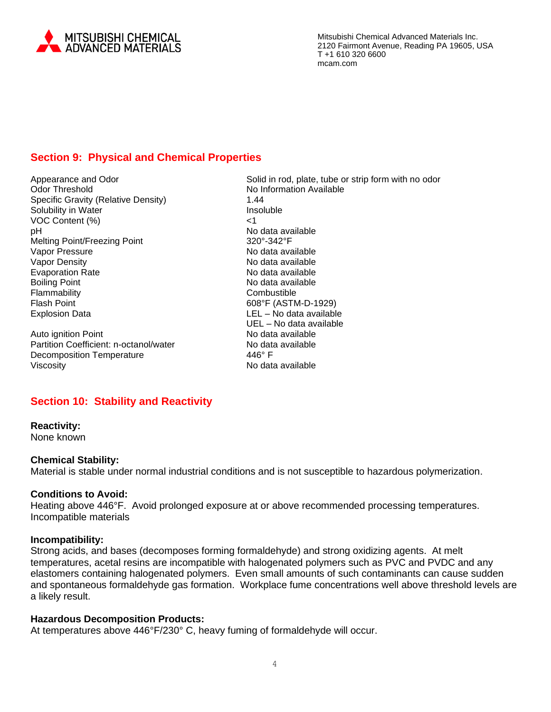

# **Section 9: Physical and Chemical Properties**

Odor Threshold No Information Available Specific Gravity (Relative Density) 1.44 Solubility in Water **Insoluble** VOC Content (%) <1 pH No data available Melting Point/Freezing Point 320°-342°F Vapor Pressure No data available<br>
Vapor Density No data available<br>
No data available Evaporation Rate Boiling Point **No data available** Flammability Combustible Explosion Data LEL – No data available

Auto ignition Point No data available Partition Coefficient: n-octanol/water No data available Decomposition Temperature 446° F Viscosity **No data available** 

Appearance and Odor **Solid in rod, plate, tube or strip form with no odor** Solid in rod, plate, tube or strip form with no odor No data available<br>No data available 608°F (ASTM-D-1929) UEL – No data available

## **Section 10: Stability and Reactivity**

## **Reactivity:**

None known

#### **Chemical Stability:**

Material is stable under normal industrial conditions and is not susceptible to hazardous polymerization.

### **Conditions to Avoid:**

Heating above 446°F. Avoid prolonged exposure at or above recommended processing temperatures. Incompatible materials

#### **Incompatibility:**

Strong acids, and bases (decomposes forming formaldehyde) and strong oxidizing agents. At melt temperatures, acetal resins are incompatible with halogenated polymers such as PVC and PVDC and any elastomers containing halogenated polymers. Even small amounts of such contaminants can cause sudden and spontaneous formaldehyde gas formation. Workplace fume concentrations well above threshold levels are a likely result.

### **Hazardous Decomposition Products:**

At temperatures above 446°F/230° C, heavy fuming of formaldehyde will occur.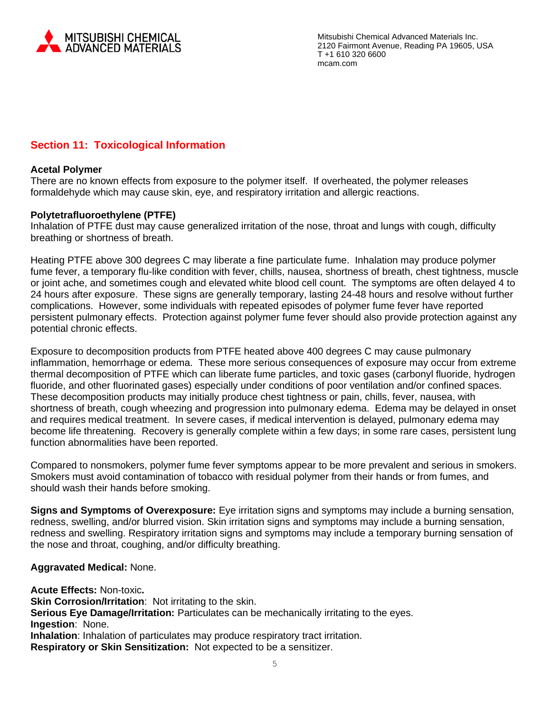

# **Section 11: Toxicological Information**

### **Acetal Polymer**

There are no known effects from exposure to the polymer itself. If overheated, the polymer releases formaldehyde which may cause skin, eye, and respiratory irritation and allergic reactions.

### **Polytetrafluoroethylene (PTFE)**

Inhalation of PTFE dust may cause generalized irritation of the nose, throat and lungs with cough, difficulty breathing or shortness of breath.

Heating PTFE above 300 degrees C may liberate a fine particulate fume. Inhalation may produce polymer fume fever, a temporary flu-like condition with fever, chills, nausea, shortness of breath, chest tightness, muscle or joint ache, and sometimes cough and elevated white blood cell count. The symptoms are often delayed 4 to 24 hours after exposure. These signs are generally temporary, lasting 24-48 hours and resolve without further complications. However, some individuals with repeated episodes of polymer fume fever have reported persistent pulmonary effects. Protection against polymer fume fever should also provide protection against any potential chronic effects.

Exposure to decomposition products from PTFE heated above 400 degrees C may cause pulmonary inflammation, hemorrhage or edema. These more serious consequences of exposure may occur from extreme thermal decomposition of PTFE which can liberate fume particles, and toxic gases (carbonyl fluoride, hydrogen fluoride, and other fluorinated gases) especially under conditions of poor ventilation and/or confined spaces. These decomposition products may initially produce chest tightness or pain, chills, fever, nausea, with shortness of breath, cough wheezing and progression into pulmonary edema. Edema may be delayed in onset and requires medical treatment. In severe cases, if medical intervention is delayed, pulmonary edema may become life threatening. Recovery is generally complete within a few days; in some rare cases, persistent lung function abnormalities have been reported.

Compared to nonsmokers, polymer fume fever symptoms appear to be more prevalent and serious in smokers. Smokers must avoid contamination of tobacco with residual polymer from their hands or from fumes, and should wash their hands before smoking.

**Signs and Symptoms of Overexposure:** Eye irritation signs and symptoms may include a burning sensation, redness, swelling, and/or blurred vision. Skin irritation signs and symptoms may include a burning sensation, redness and swelling. Respiratory irritation signs and symptoms may include a temporary burning sensation of the nose and throat, coughing, and/or difficulty breathing.

### **Aggravated Medical:** None.

**Acute Effects:** Non-toxic**.**

**Skin Corrosion/Irritation: Not irritating to the skin. Serious Eye Damage/Irritation:** Particulates can be mechanically irritating to the eyes. **Ingestion**: None. **Inhalation**: Inhalation of particulates may produce respiratory tract irritation. **Respiratory or Skin Sensitization:** Not expected to be a sensitizer.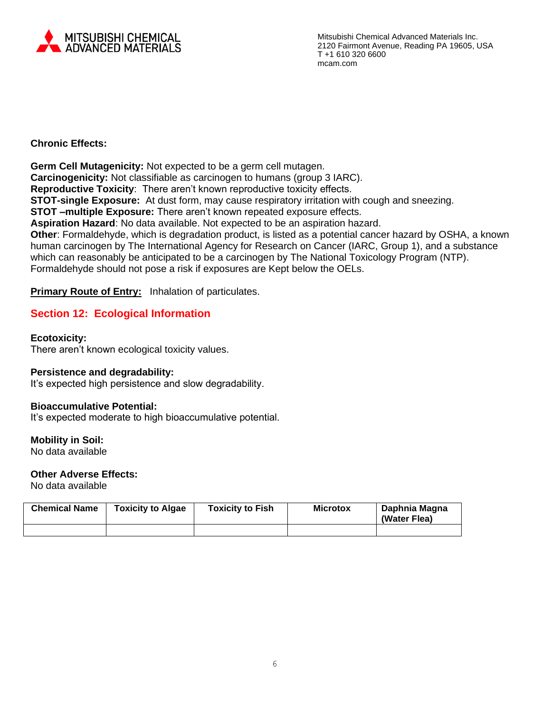

## **Chronic Effects:**

**Germ Cell Mutagenicity:** Not expected to be a germ cell mutagen. **Carcinogenicity:** Not classifiable as carcinogen to humans (group 3 IARC). **Reproductive Toxicity**: There aren't known reproductive toxicity effects. **STOT-single Exposure:** At dust form, may cause respiratory irritation with cough and sneezing. **STOT –multiple Exposure:** There aren't known repeated exposure effects. **Aspiration Hazard**: No data available. Not expected to be an aspiration hazard. **Other**: Formaldehyde, which is degradation product, is listed as a potential cancer hazard by OSHA, a known human carcinogen by The International Agency for Research on Cancer (IARC, Group 1), and a substance which can reasonably be anticipated to be a carcinogen by The National Toxicology Program (NTP). Formaldehyde should not pose a risk if exposures are Kept below the OELs.

**Primary Route of Entry:** Inhalation of particulates.

# **Section 12: Ecological Information**

### **Ecotoxicity:**

There aren't known ecological toxicity values.

### **Persistence and degradability:**

It's expected high persistence and slow degradability.

### **Bioaccumulative Potential:**

It's expected moderate to high bioaccumulative potential.

### **Mobility in Soil:**

No data available

# **Other Adverse Effects:**

No data available

| <b>Chemical Name</b> | <b>Toxicity to Algae</b> | <b>Toxicity to Fish</b> | <b>Microtox</b> | Daphnia Magna<br>(Water Flea) |
|----------------------|--------------------------|-------------------------|-----------------|-------------------------------|
|                      |                          |                         |                 |                               |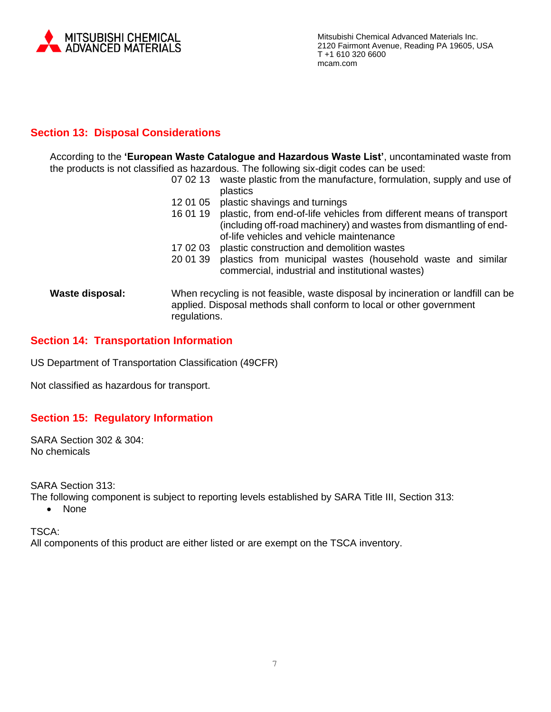

# **Section 13: Disposal Considerations**

According to the **'European Waste Catalogue and Hazardous Waste List'**, uncontaminated waste from the products is not classified as hazardous. The following six-digit codes can be used:

- 07 02 13 waste plastic from the manufacture, formulation, supply and use of plastics
- 12 01 05 plastic shavings and turnings
- 16 01 19 plastic, from end-of-life vehicles from different means of transport (including off-road machinery) and wastes from dismantling of endof-life vehicles and vehicle maintenance
- 17 02 03 plastic construction and demolition wastes
- 20 01 39 plastics from municipal wastes (household waste and similar commercial, industrial and institutional wastes)
- **Waste disposal:** When recycling is not feasible, waste disposal by incineration or landfill can be applied. Disposal methods shall conform to local or other government regulations.

# **Section 14: Transportation Information**

US Department of Transportation Classification (49CFR)

Not classified as hazardous for transport.

# **Section 15: Regulatory Information**

SARA Section 302 & 304: No chemicals

SARA Section 313:

The following component is subject to reporting levels established by SARA Title III, Section 313:

• None

TSCA:

All components of this product are either listed or are exempt on the TSCA inventory.